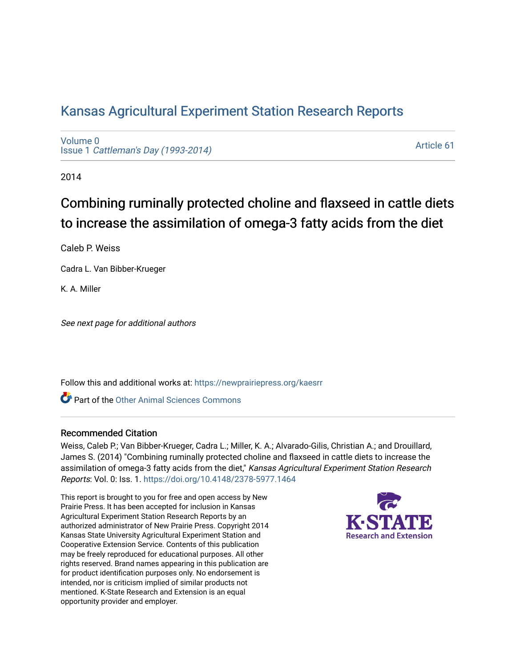# [Kansas Agricultural Experiment Station Research Reports](https://newprairiepress.org/kaesrr)

[Volume 0](https://newprairiepress.org/kaesrr/vol0) Issue 1 [Cattleman's Day \(1993-2014\)](https://newprairiepress.org/kaesrr/vol0/iss1) 

[Article 61](https://newprairiepress.org/kaesrr/vol0/iss1/61) 

2014

# Combining ruminally protected choline and flaxseed in cattle diets to increase the assimilation of omega-3 fatty acids from the diet

Caleb P. Weiss

Cadra L. Van Bibber-Krueger

K. A. Miller

See next page for additional authors

Follow this and additional works at: [https://newprairiepress.org/kaesrr](https://newprairiepress.org/kaesrr?utm_source=newprairiepress.org%2Fkaesrr%2Fvol0%2Fiss1%2F61&utm_medium=PDF&utm_campaign=PDFCoverPages) 

**C** Part of the [Other Animal Sciences Commons](http://network.bepress.com/hgg/discipline/82?utm_source=newprairiepress.org%2Fkaesrr%2Fvol0%2Fiss1%2F61&utm_medium=PDF&utm_campaign=PDFCoverPages)

### Recommended Citation

Weiss, Caleb P.; Van Bibber-Krueger, Cadra L.; Miller, K. A.; Alvarado-Gilis, Christian A.; and Drouillard, James S. (2014) "Combining ruminally protected choline and flaxseed in cattle diets to increase the assimilation of omega-3 fatty acids from the diet," Kansas Agricultural Experiment Station Research Reports: Vol. 0: Iss. 1.<https://doi.org/10.4148/2378-5977.1464>

This report is brought to you for free and open access by New Prairie Press. It has been accepted for inclusion in Kansas Agricultural Experiment Station Research Reports by an authorized administrator of New Prairie Press. Copyright 2014 Kansas State University Agricultural Experiment Station and Cooperative Extension Service. Contents of this publication may be freely reproduced for educational purposes. All other rights reserved. Brand names appearing in this publication are for product identification purposes only. No endorsement is intended, nor is criticism implied of similar products not mentioned. K-State Research and Extension is an equal opportunity provider and employer.

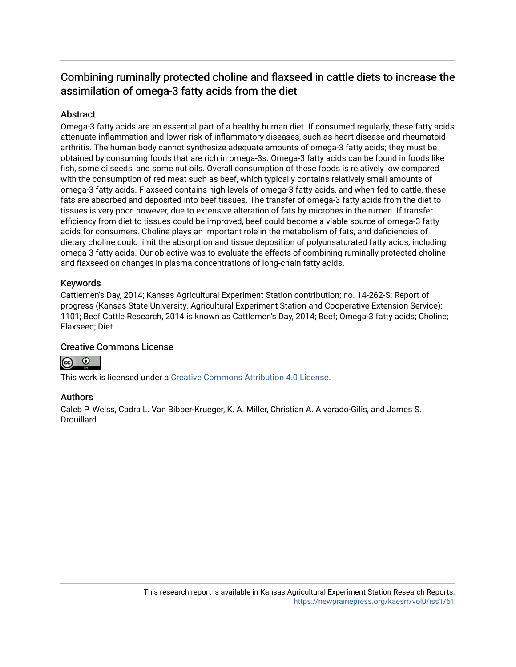# Combining ruminally protected choline and flaxseed in cattle diets to increase the assimilation of omega-3 fatty acids from the diet

# **Abstract**

Omega-3 fatty acids are an essential part of a healthy human diet. If consumed regularly, these fatty acids attenuate inflammation and lower risk of inflammatory diseases, such as heart disease and rheumatoid arthritis. The human body cannot synthesize adequate amounts of omega-3 fatty acids; they must be obtained by consuming foods that are rich in omega-3s. Omega-3 fatty acids can be found in foods like fish, some oilseeds, and some nut oils. Overall consumption of these foods is relatively low compared with the consumption of red meat such as beef, which typically contains relatively small amounts of omega-3 fatty acids. Flaxseed contains high levels of omega-3 fatty acids, and when fed to cattle, these fats are absorbed and deposited into beef tissues. The transfer of omega-3 fatty acids from the diet to tissues is very poor, however, due to extensive alteration of fats by microbes in the rumen. If transfer efficiency from diet to tissues could be improved, beef could become a viable source of omega-3 fatty acids for consumers. Choline plays an important role in the metabolism of fats, and deficiencies of dietary choline could limit the absorption and tissue deposition of polyunsaturated fatty acids, including omega-3 fatty acids. Our objective was to evaluate the effects of combining ruminally protected choline and flaxseed on changes in plasma concentrations of long-chain fatty acids.

## Keywords

Cattlemen's Day, 2014; Kansas Agricultural Experiment Station contribution; no. 14-262-S; Report of progress (Kansas State University. Agricultural Experiment Station and Cooperative Extension Service); 1101; Beef Cattle Research, 2014 is known as Cattlemen's Day, 2014; Beef; Omega-3 fatty acids; Choline; Flaxseed; Diet

## Creative Commons License



This work is licensed under a [Creative Commons Attribution 4.0 License](https://creativecommons.org/licenses/by/4.0/).

### Authors

Caleb P. Weiss, Cadra L. Van Bibber-Krueger, K. A. Miller, Christian A. Alvarado-Gilis, and James S. **Drouillard**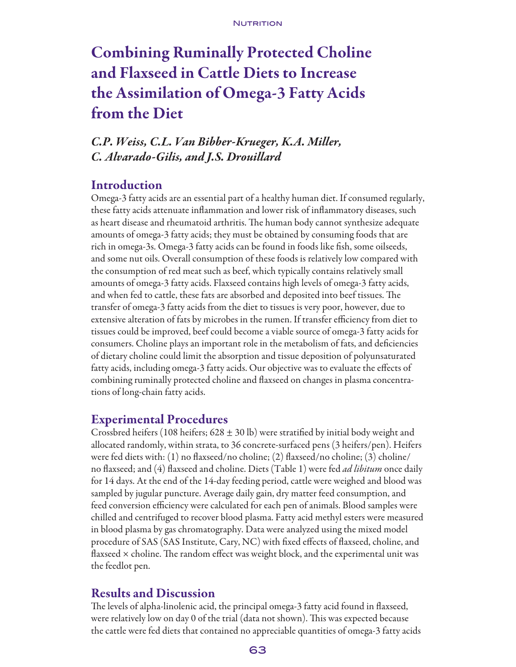# Combining Ruminally Protected Choline and Flaxseed in Cattle Diets to Increase the Assimilation of Omega-3 Fatty Acids from the Diet

# *C.P. Weiss, C.L. Van Bibber-Krueger, K.A. Miller, C. Alvarado-Gilis, and J.S. Drouillard*

# Introduction

Omega-3 fatty acids are an essential part of a healthy human diet. If consumed regularly, these fatty acids attenuate inflammation and lower risk of inflammatory diseases, such as heart disease and rheumatoid arthritis. The human body cannot synthesize adequate amounts of omega-3 fatty acids; they must be obtained by consuming foods that are rich in omega-3s. Omega-3 fatty acids can be found in foods like fish, some oilseeds, and some nut oils. Overall consumption of these foods is relatively low compared with the consumption of red meat such as beef, which typically contains relatively small amounts of omega-3 fatty acids. Flaxseed contains high levels of omega-3 fatty acids, and when fed to cattle, these fats are absorbed and deposited into beef tissues. The transfer of omega-3 fatty acids from the diet to tissues is very poor, however, due to extensive alteration of fats by microbes in the rumen. If transfer efficiency from diet to tissues could be improved, beef could become a viable source of omega-3 fatty acids for consumers. Choline plays an important role in the metabolism of fats, and deficiencies of dietary choline could limit the absorption and tissue deposition of polyunsaturated fatty acids, including omega-3 fatty acids. Our objective was to evaluate the effects of combining ruminally protected choline and flaxseed on changes in plasma concentrations of long-chain fatty acids.

# Experimental Procedures

Crossbred heifers (108 heifers;  $628 \pm 30$  lb) were stratified by initial body weight and allocated randomly, within strata, to 36 concrete-surfaced pens (3 heifers/pen). Heifers were fed diets with: (1) no flaxseed/no choline; (2) flaxseed/no choline; (3) choline/ no flaxseed; and (4) flaxseed and choline. Diets (Table 1) were fed *ad libitum* once daily for 14 days. At the end of the 14-day feeding period, cattle were weighed and blood was sampled by jugular puncture. Average daily gain, dry matter feed consumption, and feed conversion efficiency were calculated for each pen of animals. Blood samples were chilled and centrifuged to recover blood plasma. Fatty acid methyl esters were measured in blood plasma by gas chromatography. Data were analyzed using the mixed model procedure of SAS (SAS Institute, Cary, NC) with fixed effects of flaxseed, choline, and flaxseed  $\times$  choline. The random effect was weight block, and the experimental unit was the feedlot pen.

# Results and Discussion

The levels of alpha-linolenic acid, the principal omega-3 fatty acid found in flaxseed, were relatively low on day 0 of the trial (data not shown). This was expected because the cattle were fed diets that contained no appreciable quantities of omega-3 fatty acids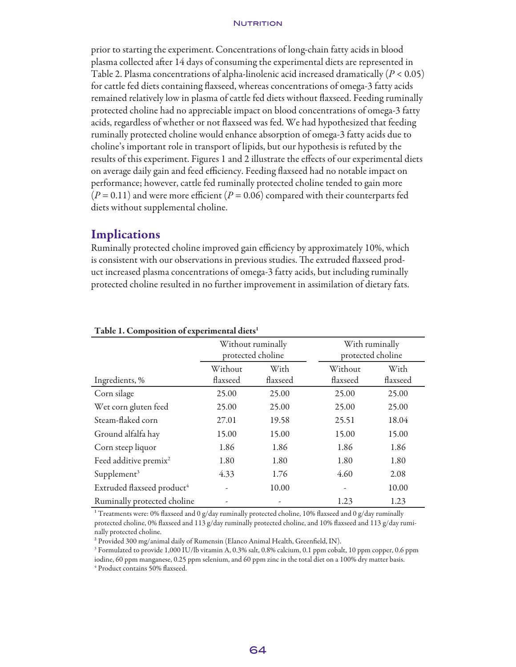#### **NUTRITION**

prior to starting the experiment. Concentrations of long-chain fatty acids in blood plasma collected after 14 days of consuming the experimental diets are represented in Table 2. Plasma concentrations of alpha-linolenic acid increased dramatically (*P* < 0.05) for cattle fed diets containing flaxseed, whereas concentrations of omega-3 fatty acids remained relatively low in plasma of cattle fed diets without flaxseed. Feeding ruminally protected choline had no appreciable impact on blood concentrations of omega-3 fatty acids, regardless of whether or not flaxseed was fed. We had hypothesized that feeding ruminally protected choline would enhance absorption of omega-3 fatty acids due to choline's important role in transport of lipids, but our hypothesis is refuted by the results of this experiment. Figures 1 and 2 illustrate the effects of our experimental diets on average daily gain and feed efficiency. Feeding flaxseed had no notable impact on performance; however, cattle fed ruminally protected choline tended to gain more  $(P = 0.11)$  and were more efficient  $(P = 0.06)$  compared with their counterparts fed diets without supplemental choline.

# **Implications**

Ruminally protected choline improved gain efficiency by approximately 10%, which is consistent with our observations in previous studies. The extruded flaxseed product increased plasma concentrations of omega-3 fatty acids, but including ruminally protected choline resulted in no further improvement in assimilation of dietary fats.

|                                        | Without ruminally<br>protected choline<br>With<br>Without |          |          | With ruminally<br>protected choline |  |
|----------------------------------------|-----------------------------------------------------------|----------|----------|-------------------------------------|--|
|                                        |                                                           |          | Without  | With                                |  |
| Ingredients, %                         | flaxseed                                                  | flaxseed | flaxseed | flaxseed                            |  |
| Corn silage                            | 25.00                                                     | 25.00    | 25.00    | 25.00                               |  |
| Wet corn gluten feed                   | 25.00                                                     | 25.00    | 25.00    | 25.00                               |  |
| Steam-flaked corn                      | 27.01                                                     | 19.58    | 25.51    | 18.04                               |  |
| Ground alfalfa hay                     | 15.00                                                     | 15.00    | 15.00    | 15.00                               |  |
| Corn steep liquor                      | 1.86                                                      | 1.86     | 1.86     | 1.86                                |  |
| Feed additive premix <sup>2</sup>      | 1.80                                                      | 1.80     | 1.80     | 1.80                                |  |
| Supplement <sup>3</sup>                | 4.33                                                      | 1.76     | 4.60     | 2.08                                |  |
| Extruded flaxseed product <sup>4</sup> | $\overline{\phantom{a}}$                                  | 10.00    |          | 10.00                               |  |
| Ruminally protected choline            | -                                                         | -        | 1.23     | 1.23                                |  |

#### Table 1. Composition of experimental diets<sup>1</sup>

<sup>1</sup> Treatments were: 0% flaxseed and 0 g/day ruminally protected choline, 10% flaxseed and 0 g/day ruminally protected choline, 0% flaxseed and 113 g/day ruminally protected choline, and 10% flaxseed and 113 g/day ruminally protected choline.

² Provided 300 mg/animal daily of Rumensin (Elanco Animal Health, Greenfield, IN).

3 Formulated to provide 1,000 IU/lb vitamin A, 0.3% salt, 0.8% calcium, 0.1 ppm cobalt, 10 ppm copper, 0.6 ppm iodine, 60 ppm manganese, 0.25 ppm selenium, and 60 ppm zinc in the total diet on a 100% dry matter basis. 4 Product contains 50% flaxseed.